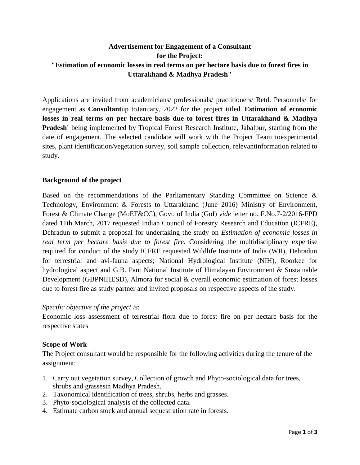# **Advertisement for Engagement of a Consultant for the Project: "Estimation of economic losses in real terms on per hectare basis due to forest fires in Uttarakhand & Madhya Pradesh"**

Applications are invited from academicians/ professionals/ practitioners/ Retd. Personnels/ for engagement as **Consultant**up toJanuary, 2022 for the project titled '**Estimation of economic losses in real terms on per hectare basis due to forest fires in Uttarakhand & Madhya Pradesh'** being implemented by Tropical Forest Research Institute, Jabalpur, starting from the date of engagement. The selected candidate will work with the Project Team toexperimental sites, plant identification/vegetation survey, soil sample collection, relevantinformation related to study.

## **Background of the project**

Based on the recommendations of the Parliamentary Standing Committee on Science & Technology, Environment & Forests to Uttarakhand (June 2016) Ministry of Environment, Forest & Climate Change (MoEF&CC), Govt. of India (GoI) *vide* letter no. F.No.7-2/2016-FPD dated 11th March, 2017 requested Indian Council of Forestry Research and Education (ICFRE), Dehradun to submit a proposal for undertaking the study on *Estimation of economic losses in real term per hectare basis due to forest fire*. Considering the multidisciplinary expertise required for conduct of the study ICFRE requested Wildlife Institute of India (WII), Dehradun for terrestrial and avi-fauna aspects; National Hydrological Institute (NIH), Roorkee for hydrological aspect and G.B. Pant National Institute of Himalayan Environment & Sustainable Development (GBPNIHESD), Almora for social & overall economic estimation of forest losses due to forest fire as study partner and invited proposals on respective aspects of the study.

### *Specific objective of the project is*:

Economic loss assessment of terrestrial flora due to forest fire on per hectare basis for the respective states

### **Scope of Work**

The Project consultant would be responsible for the following activities during the tenure of the assignment:

- 1. Carry out vegetation survey, Collection of growth and Phyto-sociological data for trees, shrubs and grassesin Madhya Pradesh.
- 2. Taxonomical identification of trees, shrubs, herbs and grasses.
- 3. Phyto-sociological analysis of the collected data.
- 4. Estimate carbon stock and annual sequestration rate in forests.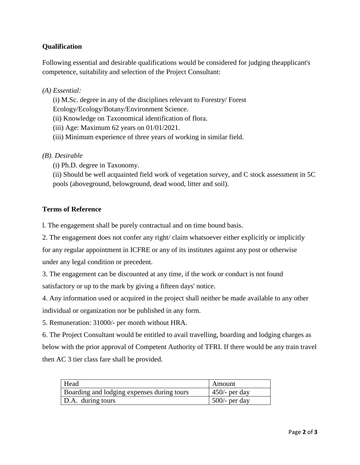## **Qualification**

Following essential and desirable qualifications would be considered for judging theapplicant's competence, suitability and selection of the Project Consultant:

## *(A) Essential:*

(i) M.Sc. degree in any of the disciplines relevant to Forestry/ Forest

Ecology/Ecology/Botany/Environment Science.

(ii) Knowledge on Taxonomical identification of flora.

(iii) Age: Maximum 62 years on 01/01/2021.

(iii) Minimum experience of three years of working in similar field.

## *(B). Desirable*

(i) Ph.D. degree in Taxonomy.

(ii) Should be well acquainted field work of vegetation survey, and C stock assessment in 5C pools (aboveground, belowground, dead wood, litter and soil).

## **Terms of Reference**

l. The engagement shall be purely contractual and on time bound basis.

2. The engagement does not confer any right/ claim whatsoever either explicitly or implicitly

for any regular appointment in ICFRE or any of its institutes against any post or otherwise under any legal condition or precedent.

3. The engagement can be discounted at any time, if the work or conduct is not found satisfactory or up to the mark by giving a fifteen days' notice.

4. Any information used or acquired in the project shall neither be made available to any other individual or organization nor be published in any form.

5. Remuneration: 31000/- per month without HRA.

6. The Project Consultant would be entitled to avail travelling, boarding and lodging charges as below with the prior approval of Competent Authority of TFRI. If there would be any train travel then AC 3 tier class fare shall be provided.

| Head                                       | Amount           |
|--------------------------------------------|------------------|
| Boarding and lodging expenses during tours | $450$ /- per day |
| D.A. during tours                          | $500/-$ per day  |